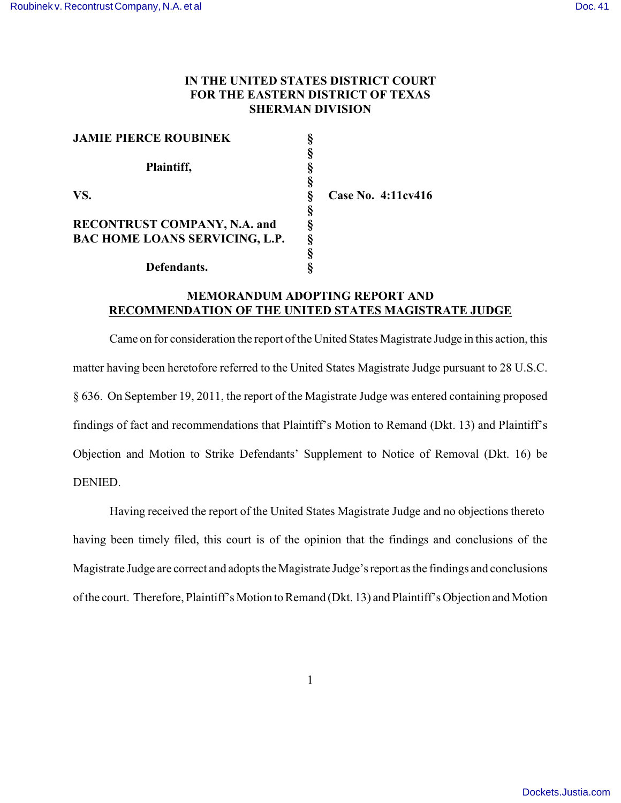## **IN THE UNITED STATES DISTRICT COURT FOR THE EASTERN DISTRICT OF TEXAS SHERMAN DIVISION**

| <b>JAMIE PIERCE ROUBINEK</b>          |                    |
|---------------------------------------|--------------------|
|                                       |                    |
| Plaintiff,                            |                    |
|                                       |                    |
| VS.                                   | Case No. 4:11cv416 |
|                                       |                    |
| <b>RECONTRUST COMPANY, N.A. and</b>   |                    |
| <b>BAC HOME LOANS SERVICING, L.P.</b> |                    |
|                                       |                    |
| Defendants.                           |                    |

## **MEMORANDUM ADOPTING REPORT AND RECOMMENDATION OF THE UNITED STATES MAGISTRATE JUDGE**

Came on for consideration the report of the United States Magistrate Judge in this action, this matter having been heretofore referred to the United States Magistrate Judge pursuant to 28 U.S.C. § 636. On September 19, 2011, the report of the Magistrate Judge was entered containing proposed findings of fact and recommendations that Plaintiff's Motion to Remand (Dkt. 13) and Plaintiff's Objection and Motion to Strike Defendants' Supplement to Notice of Removal (Dkt. 16) be DENIED.

Having received the report of the United States Magistrate Judge and no objections thereto having been timely filed, this court is of the opinion that the findings and conclusions of the Magistrate Judge are correct and adopts the Magistrate Judge's report as the findings and conclusions of the court. Therefore, Plaintiff's Motion to Remand (Dkt. 13) and Plaintiff's Objection and Motion